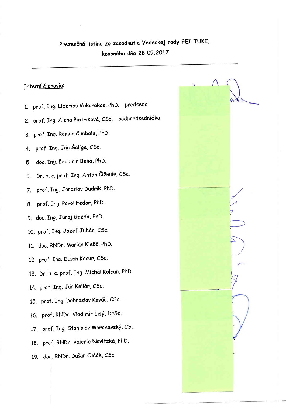## Prezenčná listina zo zasadnutia Vedeckej rady FEI TUKE, konaného dňa 28.09.2017

## Interní členovia:

- 1. prof. Ing. Liberios Vokorokos, PhD. predseda
- 2. prof. Ing. Alena Pietriková, CSc. podpredsedníčka
- 3. prof. Ing. Roman Cimbala, PhD.
- 4. prof. Ing. Ján Šaliga, CSc.
- 5. doc. Ing. Lubomír Beňa, PhD.
- 6. Dr. h. c. prof. Ing. Anton Čižmár, CSc.
- 7. prof. Ing. Jaroslav Dudrik, PhD.
- 8. prof. Ing. Pavol Fedor, PhD.
- 9. doc. Ing. Juraj Gazda, PhD.
- 10. prof. Ing. Jozef Juhár, CSc.
- 11. doc. RNDr. Marián Klešč, PhD.
- 12. prof. Ing. Dušan Kocur, CSc.
- 13. Dr. h. c. prof. Ing. Michal Kolcun, PhD.
- 14. prof. Ing. Ján Kollár, CSc.
- 15. prof. Ing. Dobroslav Kováč, CSc.
- 16. prof. RNDr. Vladimír Lisý, DrSc.
- 17. prof. Ing. Stanislav Marchevský, CSc.
- 18. prof. RNDr. Valerie Novitzká, PhD.
- 19. doc. RNDr. Dušan Olčák, CSc.

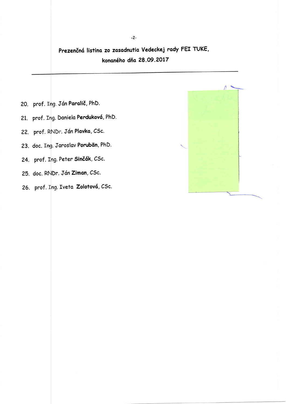Prezenčná listina zo zasadnutia Vedeckej rady FEI TUKE, konaného dňa 28.09.2017

- 20. µprof. Ing. Ján **Paralič,** PhD.
- 21. þrof. Ing. Daniela **Perduková**, PhD.
- 22. þrof. RNDr. Ján Plavka, CSc.
- 23. doc. Ing. Jaroslav **Porubän**, PhD.
- 24. þrof. Ing. Peter **Sinčák**, CSc.
- 25. doc. RNDr. Ján **Ziman**, CSc.
- 26. prof. I<mark>ng. Iveta Zolotová,</mark> CSc.